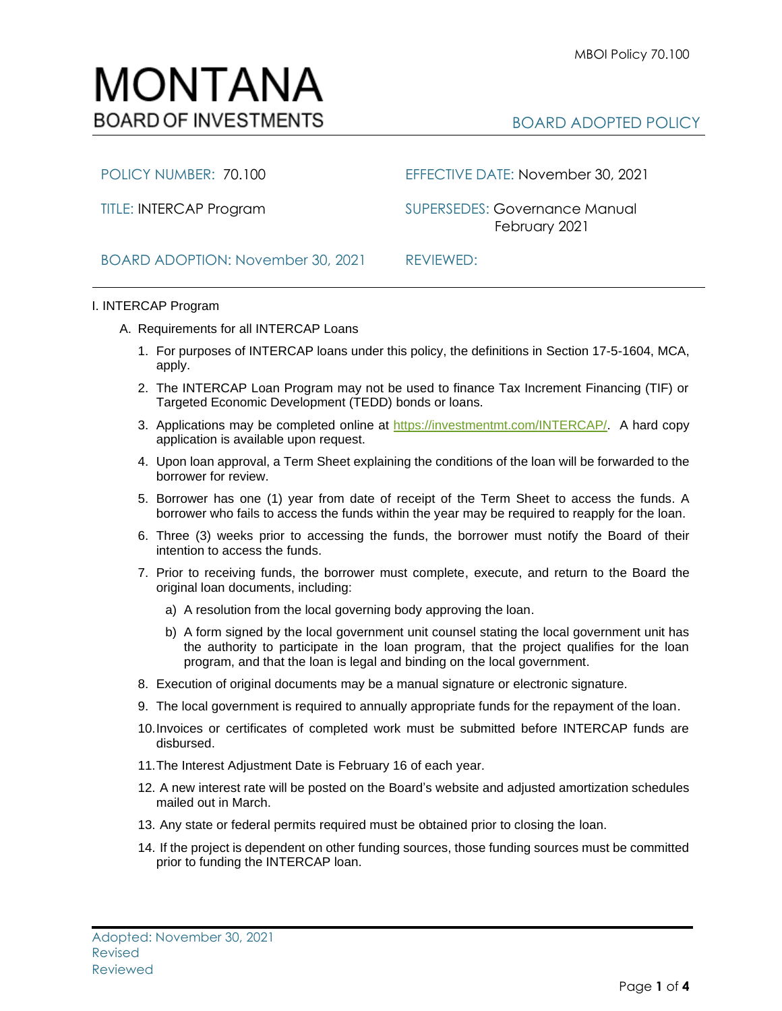

POLICY NUMBER: 70.100 EFFECTIVE DATE: November 30, 2021

TITLE: INTERCAP Program SUPERSEDES: Governance Manual February 2021

## BOARD ADOPTION: November 30, 2021 REVIEWED:

## I. INTERCAP Program

- A. Requirements for all INTERCAP Loans
	- 1. For purposes of INTERCAP loans under this policy, the definitions in Section 17-5-1604, MCA, apply.
	- 2. The INTERCAP Loan Program may not be used to finance Tax Increment Financing (TIF) or Targeted Economic Development (TEDD) bonds or loans.
	- 3. Applications may be completed online at [https://investmentmt.com/INTERCAP/.](https://investmentmt.com/INTERCAP/) A hard copy application is available upon request.
	- 4. Upon loan approval, a Term Sheet explaining the conditions of the loan will be forwarded to the borrower for review.
	- 5. Borrower has one (1) year from date of receipt of the Term Sheet to access the funds. A borrower who fails to access the funds within the year may be required to reapply for the loan.
	- 6. Three (3) weeks prior to accessing the funds, the borrower must notify the Board of their intention to access the funds.
	- 7. Prior to receiving funds, the borrower must complete, execute, and return to the Board the original loan documents, including:
		- a) A resolution from the local governing body approving the loan.
		- b) A form signed by the local government unit counsel stating the local government unit has the authority to participate in the loan program, that the project qualifies for the loan program, and that the loan is legal and binding on the local government.
	- 8. Execution of original documents may be a manual signature or electronic signature.
	- 9. The local government is required to annually appropriate funds for the repayment of the loan.
	- 10.Invoices or certificates of completed work must be submitted before INTERCAP funds are disbursed.
	- 11.The Interest Adjustment Date is February 16 of each year.
	- 12. A new interest rate will be posted on the Board's website and adjusted amortization schedules mailed out in March.
	- 13. Any state or federal permits required must be obtained prior to closing the loan.
	- 14. If the project is dependent on other funding sources, those funding sources must be committed prior to funding the INTERCAP loan.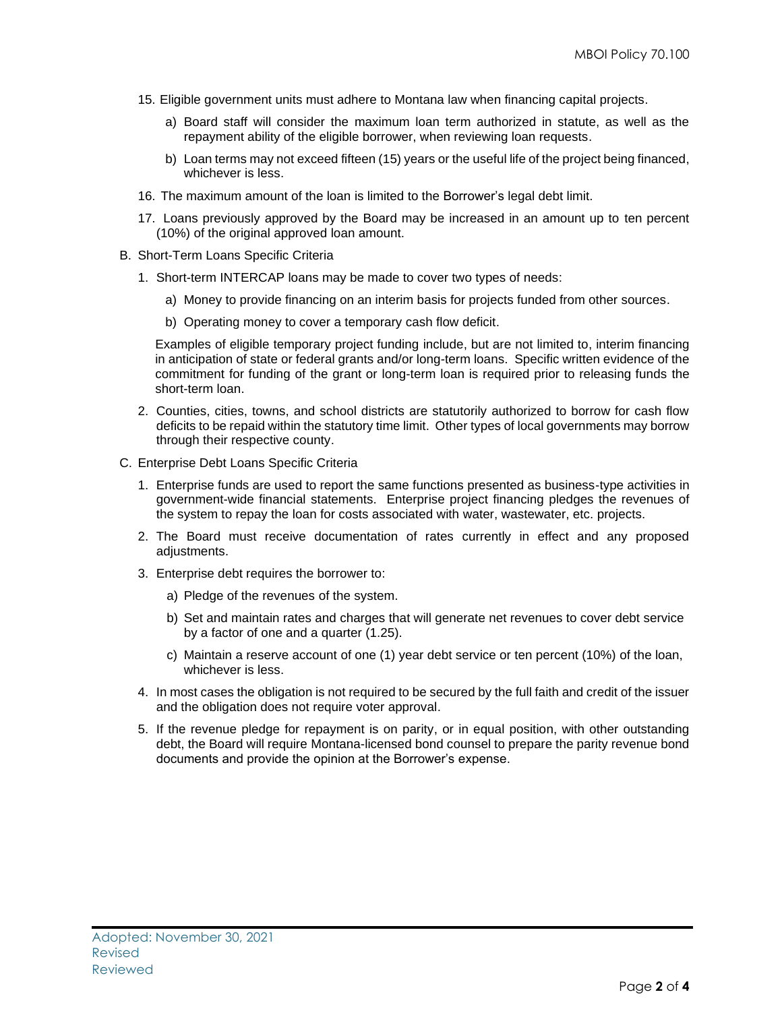- 15. Eligible government units must adhere to Montana law when financing capital projects.
	- a) Board staff will consider the maximum loan term authorized in statute, as well as the repayment ability of the eligible borrower, when reviewing loan requests.
	- b) Loan terms may not exceed fifteen (15) years or the useful life of the project being financed, whichever is less.
- 16. The maximum amount of the loan is limited to the Borrower's legal debt limit.
- 17. Loans previously approved by the Board may be increased in an amount up to ten percent (10%) of the original approved loan amount.
- B. Short-Term Loans Specific Criteria
	- 1. Short-term INTERCAP loans may be made to cover two types of needs:
		- a) Money to provide financing on an interim basis for projects funded from other sources.
		- b) Operating money to cover a temporary cash flow deficit.

Examples of eligible temporary project funding include, but are not limited to, interim financing in anticipation of state or federal grants and/or long-term loans. Specific written evidence of the commitment for funding of the grant or long-term loan is required prior to releasing funds the short-term loan.

- 2. Counties, cities, towns, and school districts are statutorily authorized to borrow for cash flow deficits to be repaid within the statutory time limit. Other types of local governments may borrow through their respective county.
- C. Enterprise Debt Loans Specific Criteria
	- 1. Enterprise funds are used to report the same functions presented as business-type activities in government-wide financial statements. Enterprise project financing pledges the revenues of the system to repay the loan for costs associated with water, wastewater, etc. projects.
	- 2. The Board must receive documentation of rates currently in effect and any proposed adjustments.
	- 3. Enterprise debt requires the borrower to:
		- a) Pledge of the revenues of the system.
		- b) Set and maintain rates and charges that will generate net revenues to cover debt service by a factor of one and a quarter (1.25).
		- c) Maintain a reserve account of one (1) year debt service or ten percent (10%) of the loan, whichever is less.
	- 4. In most cases the obligation is not required to be secured by the full faith and credit of the issuer and the obligation does not require voter approval.
	- 5. If the revenue pledge for repayment is on parity, or in equal position, with other outstanding debt, the Board will require Montana-licensed bond counsel to prepare the parity revenue bond documents and provide the opinion at the Borrower's expense.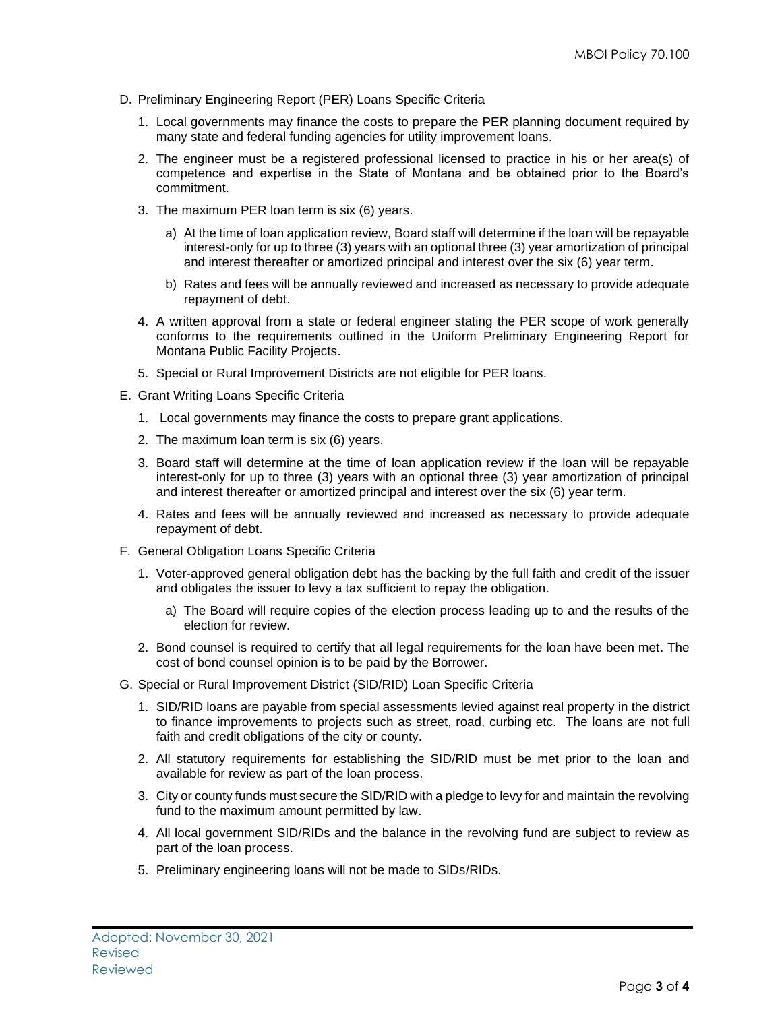- D. Preliminary Engineering Report (PER) Loans Specific Criteria
	- 1. Local governments may finance the costs to prepare the PER planning document required by many state and federal funding agencies for utility improvement loans.
	- 2. The engineer must be a registered professional licensed to practice in his or her area(s) of competence and expertise in the State of Montana and be obtained prior to the Board's commitment.
	- 3. The maximum PER loan term is six (6) years.
		- a) At the time of loan application review, Board staff will determine if the loan will be repayable interest-only for up to three (3) years with an optional three (3) year amortization of principal and interest thereafter or amortized principal and interest over the six (6) year term.
		- b) Rates and fees will be annually reviewed and increased as necessary to provide adequate repayment of debt.
	- 4. A written approval from a state or federal engineer stating the PER scope of work generally conforms to the requirements outlined in the Uniform Preliminary Engineering Report for Montana Public Facility Projects.
	- 5. Special or Rural Improvement Districts are not eligible for PER loans.
- E. Grant Writing Loans Specific Criteria
	- 1. Local governments may finance the costs to prepare grant applications.
	- 2. The maximum loan term is six (6) years.
	- 3. Board staff will determine at the time of loan application review if the loan will be repayable interest-only for up to three (3) years with an optional three (3) year amortization of principal and interest thereafter or amortized principal and interest over the six (6) year term.
	- 4. Rates and fees will be annually reviewed and increased as necessary to provide adequate repayment of debt.
- F. General Obligation Loans Specific Criteria
	- 1. Voter-approved general obligation debt has the backing by the full faith and credit of the issuer and obligates the issuer to levy a tax sufficient to repay the obligation.
		- a) The Board will require copies of the election process leading up to and the results of the election for review.
	- 2. Bond counsel is required to certify that all legal requirements for the loan have been met. The cost of bond counsel opinion is to be paid by the Borrower.
- G. Special or Rural Improvement District (SID/RID) Loan Specific Criteria
	- 1. SID/RID loans are payable from special assessments levied against real property in the district to finance improvements to projects such as street, road, curbing etc. The loans are not full faith and credit obligations of the city or county.
	- 2. All statutory requirements for establishing the SID/RID must be met prior to the loan and available for review as part of the loan process.
	- 3. City or county funds must secure the SID/RID with a pledge to levy for and maintain the revolving fund to the maximum amount permitted by law.
	- 4. All local government SID/RIDs and the balance in the revolving fund are subject to review as part of the loan process.
	- 5. Preliminary engineering loans will not be made to SIDs/RIDs.